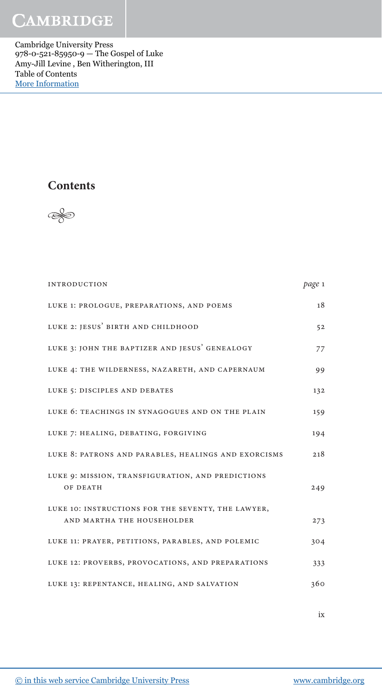## **CAMBRIDGE**

Cambridge University Press 978-0-521-85950-9 — The Gospel of Luke Amy-Jill Levine , Ben Witherington, III Table of Contents [More Information](www.cambridge.org/9780521859509)

## **Contents**



| <b>INTRODUCTION</b>                                           | page 1 |
|---------------------------------------------------------------|--------|
| LUKE 1: PROLOGUE, PREPARATIONS, AND POEMS                     | 18     |
| LUKE 2: JESUS' BIRTH AND CHILDHOOD                            | 52     |
| LUKE 3: JOHN THE BAPTIZER AND JESUS' GENEALOGY                | 77     |
| LUKE 4: THE WILDERNESS, NAZARETH, AND CAPERNAUM               | 99     |
| LUKE 5: DISCIPLES AND DEBATES                                 | 132    |
| LUKE 6: TEACHINGS IN SYNAGOGUES AND ON THE PLAIN              | 159    |
| LUKE 7: HEALING, DEBATING, FORGIVING                          | 194    |
| LUKE 8: PATRONS AND PARABLES, HEALINGS AND EXORCISMS          | 218    |
| LUKE 9: MISSION, TRANSFIGURATION, AND PREDICTIONS<br>OF DEATH | 249    |
| LUKE 10: INSTRUCTIONS FOR THE SEVENTY, THE LAWYER,            |        |
| AND MARTHA THE HOUSEHOLDER                                    | 273    |
| LUKE 11: PRAYER, PETITIONS, PARABLES, AND POLEMIC             | 304    |
| LUKE 12: PROVERBS, PROVOCATIONS, AND PREPARATIONS             | 333    |
| LUKE 13: REPENTANCE, HEALING, AND SALVATION                   | 360    |

ix